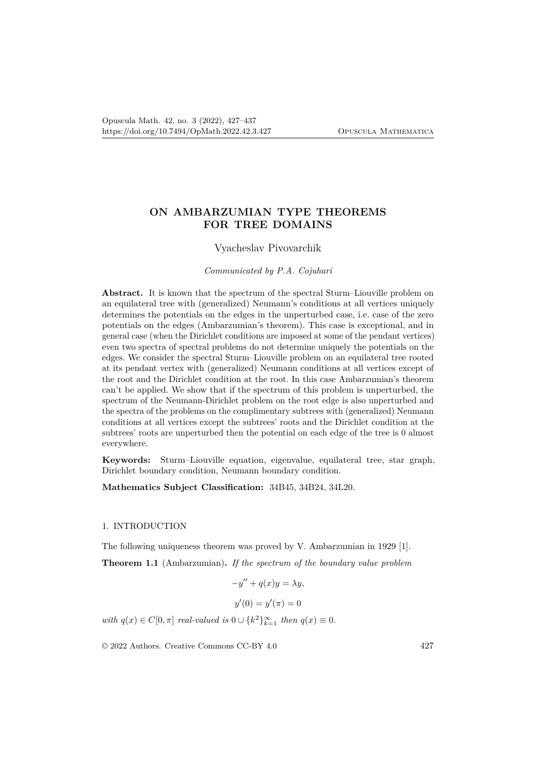# **ON AMBARZUMIAN TYPE THEOREMS FOR TREE DOMAINS**

# Vyacheslav Pivovarchik

# *Communicated by P.A. Cojuhari*

**Abstract.** It is known that the spectrum of the spectral Sturm–Liouville problem on an equilateral tree with (generalized) Neumann's conditions at all vertices uniquely determines the potentials on the edges in the unperturbed case, i.e. case of the zero potentials on the edges (Ambarzumian's theorem). This case is exceptional, and in general case (when the Dirichlet conditions are imposed at some of the pendant vertices) even two spectra of spectral problems do not determine uniquely the potentials on the edges. We consider the spectral Sturm–Liouville problem on an equilateral tree rooted at its pendant vertex with (generalized) Neumann conditions at all vertices except of the root and the Dirichlet condition at the root. In this case Ambarzumian's theorem can't be applied. We show that if the spectrum of this problem is unperturbed, the spectrum of the Neumann-Dirichlet problem on the root edge is also unperturbed and the spectra of the problems on the complimentary subtrees with (generalized) Neumann conditions at all vertices except the subtrees' roots and the Dirichlet condition at the subtrees' roots are unperturbed then the potential on each edge of the tree is 0 almost everywhere.

**Keywords:** Sturm–Liouville equation, eigenvalue, equilateral tree, star graph, Dirichlet boundary condition, Neumann boundary condition.

**Mathematics Subject Classification:** 34B45, 34B24, 34L20.

# 1. INTRODUCTION

The following uniqueness theorem was proved by V. Ambarzumian in 1929 [1].

**Theorem 1.1** (Ambarzumian)**.** *If the spectrum of the boundary value problem*

 $-y'' + q(x)y = \lambda y,$  $y'(0) = y'(\pi) = 0$ 

*with*  $q(x) \in C[0, \pi]$  *real-valued is*  $0 \cup \{k^2\}_{k=1}^{\infty}$  *then*  $q(x) \equiv 0$ *.* 

© 2022 Authors. Creative Commons CC-BY 4.0 427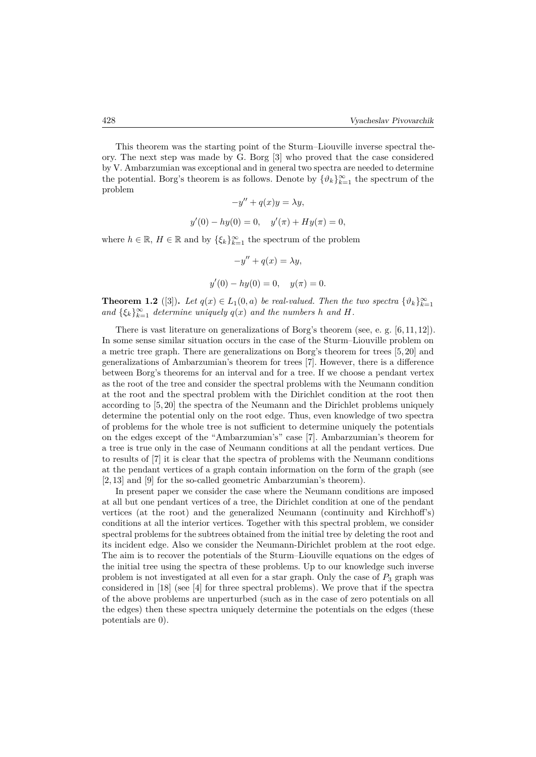This theorem was the starting point of the Sturm–Liouville inverse spectral theory. The next step was made by G. Borg [3] who proved that the case considered by V. Ambarzumian was exceptional and in general two spectra are needed to determine the potential. Borg's theorem is as follows. Denote by  $\{\vartheta_k\}_{k=1}^{\infty}$  the spectrum of the problem

$$
-y'' + q(x)y = \lambda y,
$$
  
y'(0) - hy(0) = 0, y'(\pi) + Hy(\pi) = 0,

where  $h \in \mathbb{R}$ ,  $H \in \mathbb{R}$  and by  $\{\xi_k\}_{k=1}^{\infty}$  the spectrum of the problem

$$
-y'' + q(x) = \lambda y,
$$
  

$$
y'(0) - hy(0) = 0, \quad y(\pi) = 0.
$$

**Theorem 1.2** ([3]). Let  $q(x) \in L_1(0, a)$  be real-valued. Then the two spectra  $\{\vartheta_k\}_{k=1}^{\infty}$ *and*  $\{\xi_k\}_{k=1}^{\infty}$  *determine uniquely*  $q(x)$  *and the numbers h and H*.

There is vast literature on generalizations of Borg's theorem (see, e. g. [6, 11, 12]). In some sense similar situation occurs in the case of the Sturm–Liouville problem on a metric tree graph. There are generalizations on Borg's theorem for trees [5, 20] and generalizations of Ambarzumian's theorem for trees [7]. However, there is a difference between Borg's theorems for an interval and for a tree. If we choose a pendant vertex as the root of the tree and consider the spectral problems with the Neumann condition at the root and the spectral problem with the Dirichlet condition at the root then according to [5, 20] the spectra of the Neumann and the Dirichlet problems uniquely determine the potential only on the root edge. Thus, even knowledge of two spectra of problems for the whole tree is not sufficient to determine uniquely the potentials on the edges except of the "Ambarzumian's" case [7]. Ambarzumian's theorem for a tree is true only in the case of Neumann conditions at all the pendant vertices. Due to results of [7] it is clear that the spectra of problems with the Neumann conditions at the pendant vertices of a graph contain information on the form of the graph (see [2, 13] and [9] for the so-called geometric Ambarzumian's theorem).

In present paper we consider the case where the Neumann conditions are imposed at all but one pendant vertices of a tree, the Dirichlet condition at one of the pendant vertices (at the root) and the generalized Neumann (continuity and Kirchhoff's) conditions at all the interior vertices. Together with this spectral problem, we consider spectral problems for the subtrees obtained from the initial tree by deleting the root and its incident edge. Also we consider the Neumann-Dirichlet problem at the root edge. The aim is to recover the potentials of the Sturm–Liouville equations on the edges of the initial tree using the spectra of these problems. Up to our knowledge such inverse problem is not investigated at all even for a star graph. Only the case of  $P_3$  graph was considered in [18] (see [4] for three spectral problems). We prove that if the spectra of the above problems are unperturbed (such as in the case of zero potentials on all the edges) then these spectra uniquely determine the potentials on the edges (these potentials are 0).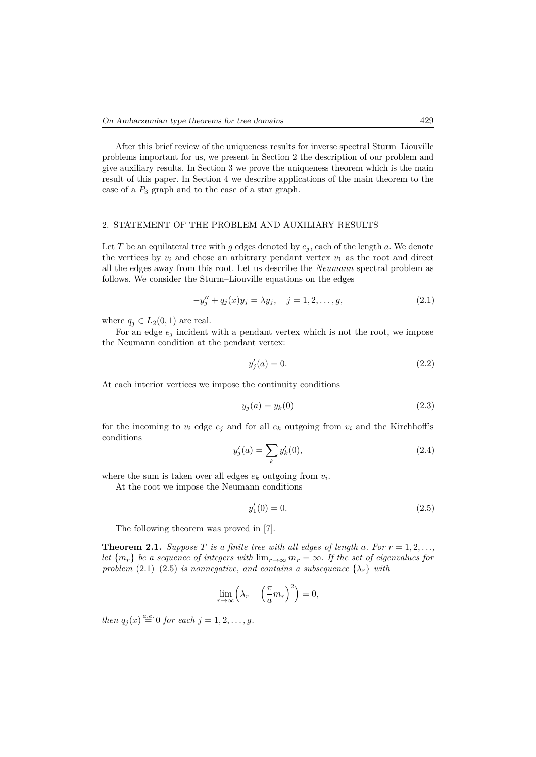After this brief review of the uniqueness results for inverse spectral Sturm–Liouville problems important for us, we present in Section 2 the description of our problem and give auxiliary results. In Section 3 we prove the uniqueness theorem which is the main result of this paper. In Section 4 we describe applications of the main theorem to the case of a *P*<sup>3</sup> graph and to the case of a star graph.

# 2. STATEMENT OF THE PROBLEM AND AUXILIARY RESULTS

Let *T* be an equilateral tree with *g* edges denoted by  $e_i$ , each of the length *a*. We denote the vertices by  $v_i$  and chose an arbitrary pendant vertex  $v_1$  as the root and direct all the edges away from this root. Let us describe the *Neumann* spectral problem as follows. We consider the Sturm–Liouville equations on the edges

$$
-y''_j + q_j(x)y_j = \lambda y_j, \quad j = 1, 2, \dots, g,
$$
\n(2.1)

where  $q_j \in L_2(0,1)$  are real.

For an edge  $e_i$  incident with a pendant vertex which is not the root, we impose the Neumann condition at the pendant vertex:

$$
y_j'(a) = 0.\tag{2.2}
$$

At each interior vertices we impose the continuity conditions

$$
y_j(a) = y_k(0) \tag{2.3}
$$

for the incoming to  $v_i$  edge  $e_j$  and for all  $e_k$  outgoing from  $v_i$  and the Kirchhoff's conditions

$$
y_j'(a) = \sum_k y_k'(0),\tag{2.4}
$$

where the sum is taken over all edges  $e_k$  outgoing from  $v_i$ .

At the root we impose the Neumann conditions

$$
y_1'(0) = 0.\t\t(2.5)
$$

The following theorem was proved in [7].

**Theorem 2.1.** *Suppose T is a finite tree with all edges of length a. For*  $r = 1, 2, \ldots$ *let*  ${m_r}$  *be a sequence of integers with*  $\lim_{r\to\infty} m_r = \infty$ *. If the set of eigenvalues for problem*  $(2.1)$ – $(2.5)$  *is nonnegative, and contains a subsequence*  $\{\lambda_r\}$  *with* 

$$
\lim_{r \to \infty} \left( \lambda_r - \left( \frac{\pi}{a} m_r \right)^2 \right) = 0,
$$

*then*  $q_j(x) \stackrel{a.e.}{=} 0$  *for each*  $j = 1, 2, ..., g$ .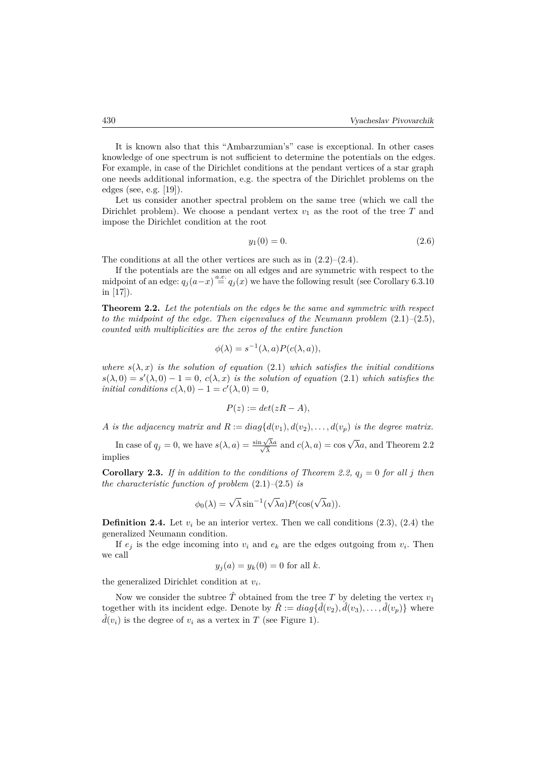It is known also that this "Ambarzumian's" case is exceptional. In other cases knowledge of one spectrum is not sufficient to determine the potentials on the edges. For example, in case of the Dirichlet conditions at the pendant vertices of a star graph one needs additional information, e.g. the spectra of the Dirichlet problems on the edges (see, e.g. [19]).

Let us consider another spectral problem on the same tree (which we call the Dirichlet problem). We choose a pendant vertex  $v_1$  as the root of the tree  $T$  and impose the Dirichlet condition at the root

$$
y_1(0) = 0.\t(2.6)
$$

The conditions at all the other vertices are such as in  $(2.2)$ – $(2.4)$ .

If the potentials are the same on all edges and are symmetric with respect to the midpoint of an edge:  $q_j(a-x) \stackrel{a.e.}{=} q_j(x)$  we have the following result (see Corollary 6.3.10 in [17]).

**Theorem 2.2.** *Let the potentials on the edges be the same and symmetric with respect to the midpoint of the edge. Then eigenvalues of the Neumann problem* (2.1)*–*(2.5)*, counted with multiplicities are the zeros of the entire function*

$$
\phi(\lambda) = s^{-1}(\lambda, a) P(c(\lambda, a)),
$$

*where*  $s(\lambda, x)$  *is the solution of equation* (2.1) *which satisfies the initial conditions*  $s(\lambda, 0) = s'(\lambda, 0) - 1 = 0$ ,  $c(\lambda, x)$  *is the solution of equation* (2.1) *which satisfies the initial conditions*  $c(\lambda, 0) - 1 = c'(\lambda, 0) = 0$ ,

$$
P(z) := det(zR - A),
$$

*A is the adjacency matrix and*  $R := diag\{d(v_1), d(v_2), \ldots, d(v_p)\}$  *is the degree matrix.* 

In case of  $q_j = 0$ , we have  $s(\lambda, a) = \frac{\sin \sqrt{\lambda}a}{\sqrt{\lambda}}$  $\sqrt{\overline{\lambda}a}$  and  $c(\lambda, a) = \cos \sqrt{\lambda}a$ , and Theorem 2.2 implies

**Corollary 2.3.** *If in addition to the conditions of Theorem 2.2,*  $q_j = 0$  *for all j then the characteristic function of problem* (2.1)*–*(2.5) *is*

$$
\phi_0(\lambda) = \sqrt{\lambda} \sin^{-1}(\sqrt{\lambda}a) P(\cos(\sqrt{\lambda}a)).
$$

**Definition 2.4.** Let  $v_i$  be an interior vertex. Then we call conditions  $(2.3)$ ,  $(2.4)$  the generalized Neumann condition.

If  $e_j$  is the edge incoming into  $v_i$  and  $e_k$  are the edges outgoing from  $v_i$ . Then we call

$$
y_j(a) = y_k(0) = 0
$$
 for all k.

the generalized Dirichlet condition at *v<sup>i</sup>* .

Now we consider the subtree  $\hat{T}$  obtained from the tree  $T$  by deleting the vertex  $v_1$ together with its incident edge. Denote by  $\hat{R} := diag\{\hat{d}(v_2), \hat{d}(v_3), \ldots, \hat{d}(v_p)\}\$  where  $\hat{d}(v_i)$  is the degree of  $v_i$  as a vertex in *T* (see Figure 1).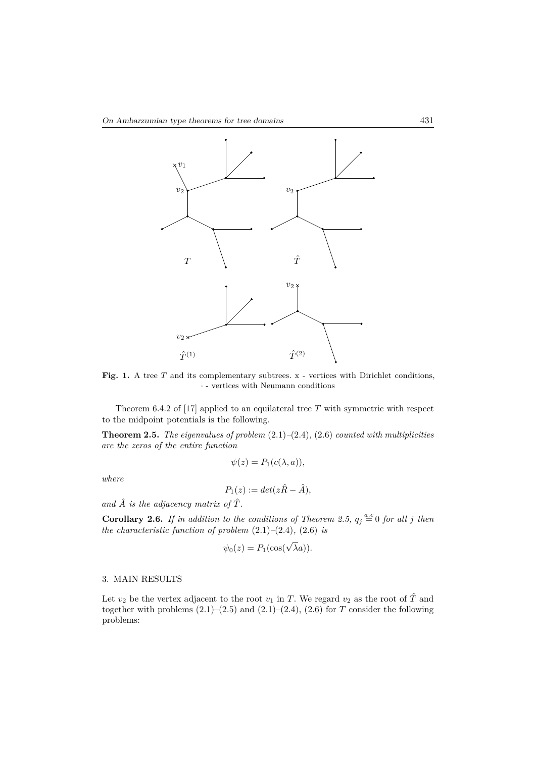

Fig. 1. A tree *T* and its complementary subtrees. x - vertices with Dirichlet conditions,  $\cdot$  - vertices with Neumann conditions

Theorem 6.4.2 of [17] applied to an equilateral tree *T* with symmetric with respect to the midpoint potentials is the following.

**Theorem 2.5.** *The eigenvalues of problem* (2.1)*–*(2.4)*,* (2.6) *counted with multiplicities are the zeros of the entire function*

$$
\psi(z) = P_1(c(\lambda, a)),
$$

*where*

$$
P_1(z) := det(z\hat{R} - \hat{A}),
$$

and  $\hat{A}$  *is the adjacency matrix of*  $\hat{T}$ *.* 

**Corollary 2.6.** *If in addition to the conditions of Theorem 2.5,*  $q_j \stackrel{a.e}{=} 0$  *for all j then the characteristic function of problem* (2.1)*–*(2.4)*,* (2.6) *is*

$$
\psi_0(z) = P_1(\cos(\sqrt{\lambda}a)).
$$

# 3. MAIN RESULTS

Let  $v_2$  be the vertex adjacent to the root  $v_1$  in *T*. We regard  $v_2$  as the root of  $\hat{T}$  and together with problems  $(2.1)$ – $(2.5)$  and  $(2.1)$ – $(2.4)$ ,  $(2.6)$  for *T* consider the following problems: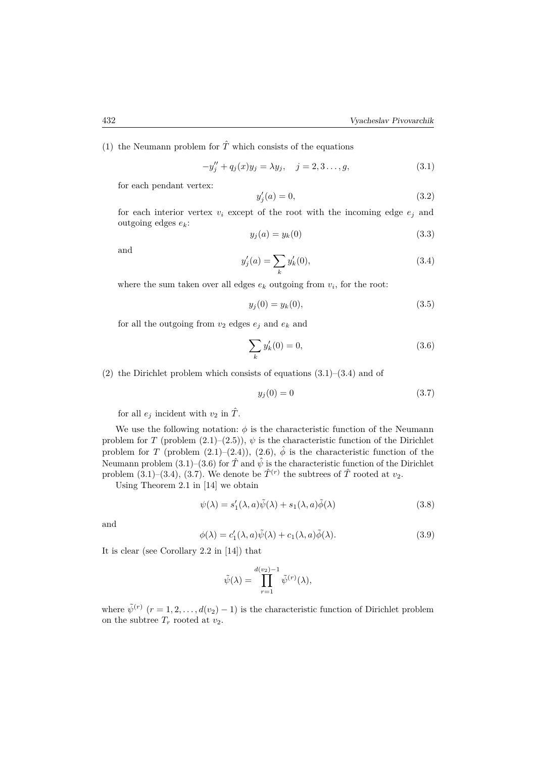(1) the Neumann problem for 
$$
\hat{T}
$$
 which consists of the equations

$$
-y''_j + q_j(x)y_j = \lambda y_j, \quad j = 2, 3 \dots, g,
$$
\n(3.1)

for each pendant vertex:

$$
y_j'(a) = 0,\t\t(3.2)
$$

for each interior vertex  $v_i$  except of the root with the incoming edge  $e_i$  and outgoing edges *ek*:

$$
y_j(a) = y_k(0) \tag{3.3}
$$

and

$$
y_j'(a) = \sum_k y_k'(0),\tag{3.4}
$$

where the sum taken over all edges  $e_k$  outgoing from  $v_i$ , for the root:

$$
y_j(0) = y_k(0),
$$
\n(3.5)

for all the outgoing from  $v_2$  edges  $e_j$  and  $e_k$  and

$$
\sum_{k} y'_{k}(0) = 0, \tag{3.6}
$$

(2) the Dirichlet problem which consists of equations  $(3.1)$ – $(3.4)$  and of

$$
y_j(0) = 0 \tag{3.7}
$$

for all  $e_j$  incident with  $v_2$  in  $\hat{T}$ .

We use the following notation:  $\phi$  is the characteristic function of the Neumann problem for *T* (problem  $(2.1)$ – $(2.5)$ ),  $\psi$  is the characteristic function of the Dirichlet problem for *T* (problem  $(2.1)$ – $(2.4)$ ),  $(2.6)$ ,  $\hat{\phi}$  is the characteristic function of the Neumann problem  $(3.1)$ – $(3.6)$  for  $\hat{T}$  and  $\hat{\psi}$  is the characteristic function of the Dirichlet problem  $(3.1)$ – $(3.4)$ ,  $(3.7)$ . We denote be  $\hat{T}^{(r)}$  the subtrees of  $\hat{T}$  rooted at  $v_2$ .

Using Theorem 2.1 in [14] we obtain

$$
\psi(\lambda) = s_1'(\lambda, a)\tilde{\psi}(\lambda) + s_1(\lambda, a)\tilde{\phi}(\lambda)
$$
\n(3.8)

and

$$
\phi(\lambda) = c_1'(\lambda, a)\tilde{\psi}(\lambda) + c_1(\lambda, a)\tilde{\phi}(\lambda).
$$
\n(3.9)

It is clear (see Corollary 2.2 in [14]) that

$$
\tilde{\psi}(\lambda) = \prod_{r=1}^{d(v_2)-1} \tilde{\psi}^{(r)}(\lambda),
$$

where  $\tilde{\psi}^{(r)}$   $(r = 1, 2, \ldots, d(v_2) - 1)$  is the characteristic function of Dirichlet problem on the subtree  $T_r$  rooted at  $v_2$ .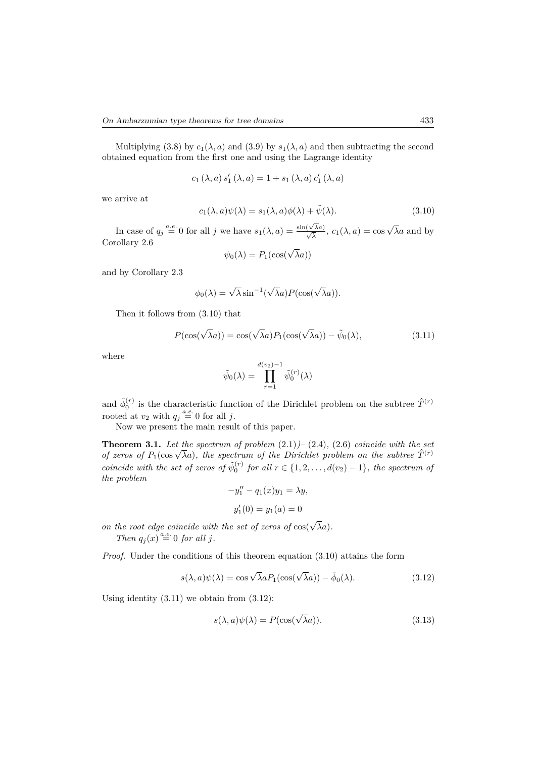Multiplying (3.8) by  $c_1(\lambda, a)$  and (3.9) by  $s_1(\lambda, a)$  and then subtracting the second obtained equation from the first one and using the Lagrange identity

$$
c_{1} (\lambda, a) s'_{1} (\lambda, a) = 1 + s_{1} (\lambda, a) c'_{1} (\lambda, a)
$$

we arrive at

$$
c_1(\lambda, a)\psi(\lambda) = s_1(\lambda, a)\phi(\lambda) + \tilde{\psi}(\lambda).
$$
\n(3.10)

In case of  $q_j \stackrel{a.e.}{=} 0$  for all *j* we have  $s_1(\lambda, a) = \frac{\sin(\sqrt{\lambda}a)}{\sqrt{\lambda}}$ ,  $c_1(\lambda, a) = \cos(\sqrt{\lambda}a)$  and by Corollary 2.6

$$
\psi_0(\lambda) = P_1(\cos(\sqrt{\lambda}a))
$$

and by Corollary 2.3

$$
\phi_0(\lambda) = \sqrt{\lambda} \sin^{-1}(\sqrt{\lambda}a) P(\cos(\sqrt{\lambda}a)).
$$

Then it follows from (3.10) that

$$
P(\cos(\sqrt{\lambda}a)) = \cos(\sqrt{\lambda}a)P_1(\cos(\sqrt{\lambda}a)) - \tilde{\psi}_0(\lambda), \qquad (3.11)
$$

where

$$
\tilde{\psi}_0(\lambda) = \prod_{r=1}^{d(v_2)-1} \tilde{\psi}_0^{(r)}(\lambda)
$$

and  $\tilde{\phi}_0^{(r)}$  is the characteristic function of the Dirichlet problem on the subtree  $\hat{T}^{(r)}$ rooted at  $v_2$  with  $q_j \stackrel{a.e.}{=} 0$  for all *j*.

Now we present the main result of this paper.

**Theorem 3.1.** *Let the spectrum of problem* (2.1)*)–* (2.4)*,* (2.6) *coincide with the set of zeros of*  $P_1(\cos \sqrt{\lambda}a)$ *, the spectrum of the Dirichlet problem on the subtree*  $\hat{T}^{(r)}$ *coincide with the set of zeros of*  $\tilde{\psi}_0^{(r)}$  *for all*  $r \in \{1, 2, ..., d(v_2) - 1\}$ *, the spectrum of the problem*

$$
-y_1'' - q_1(x)y_1 = \lambda y,
$$
  

$$
y_1'(0) = y_1(a) = 0
$$

*on the root edge coincide with the set of zeros of*  $cos(\sqrt{\lambda}a)$ *. Then*  $q_j(x) \stackrel{a.e.}{=} 0$  *for all j.* 

*Proof.* Under the conditions of this theorem equation (3.10) attains the form

$$
s(\lambda, a)\psi(\lambda) = \cos\sqrt{\lambda}aP_1(\cos(\sqrt{\lambda}a)) - \tilde{\phi}_0(\lambda).
$$
 (3.12)

Using identity  $(3.11)$  we obtain from  $(3.12)$ :

$$
s(\lambda, a)\psi(\lambda) = P(\cos(\sqrt{\lambda}a)).
$$
\n(3.13)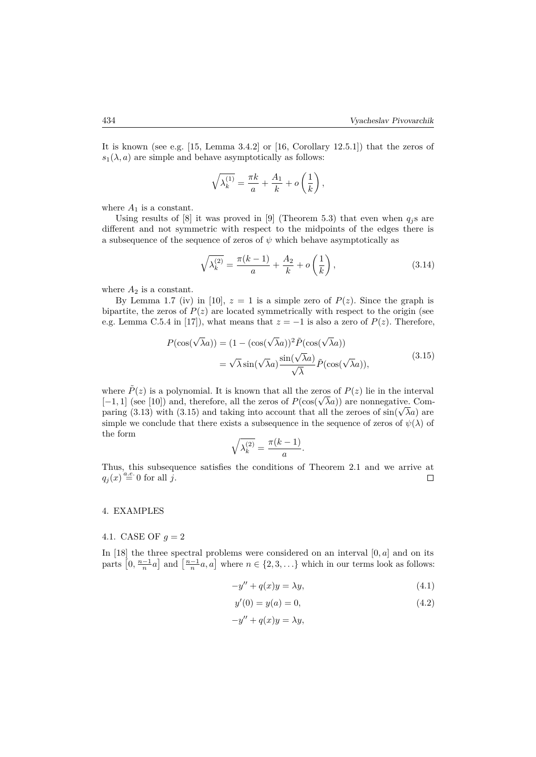It is known (see e.g. [15, Lemma 3.4.2] or [16, Corollary 12.5.1]) that the zeros of  $s_1(\lambda, a)$  are simple and behave asymptotically as follows:

$$
\sqrt{\lambda_k^{(1)}}=\frac{\pi k}{a}+\frac{A_1}{k}+o\left(\frac{1}{k}\right),
$$

where  $A_1$  is a constant.

Using results of [8] it was proved in [9] (Theorem 5.3) that even when  $q_i$ s are different and not symmetric with respect to the midpoints of the edges there is a subsequence of the sequence of zeros of  $\psi$  which behave asymptotically as

$$
\sqrt{\lambda_k^{(2)}} = \frac{\pi(k-1)}{a} + \frac{A_2}{k} + o\left(\frac{1}{k}\right),\tag{3.14}
$$

where  $A_2$  is a constant.

By Lemma 1.7 (iv) in [10],  $z = 1$  is a simple zero of  $P(z)$ . Since the graph is bipartite, the zeros of  $P(z)$  are located symmetrically with respect to the origin (see e.g. Lemma C.5.4 in [17]), what means that  $z = -1$  is also a zero of  $P(z)$ . Therefore,

$$
P(\cos(\sqrt{\lambda}a)) = (1 - (\cos(\sqrt{\lambda}a))^2 \tilde{P}(\cos(\sqrt{\lambda}a))
$$
  
=  $\sqrt{\lambda} \sin(\sqrt{\lambda}a) \frac{\sin(\sqrt{\lambda}a)}{\sqrt{\lambda}} \tilde{P}(\cos(\sqrt{\lambda}a)),$  (3.15)

where  $\tilde{P}(z)$  is a polynomial. It is known that all the zeros of  $P(z)$  lie in the interval  $[-1, 1]$  (see [10]) and, therefore, all the zeros of  $P(\cos(\sqrt{\lambda}a))$  are nonnegative. Comparing (3.13) with (3.15) and taking into account that all the zeroes of  $\sin(\sqrt{\lambda}a)$  are simple we conclude that there exists a subsequence in the sequence of zeros of  $\psi(\lambda)$  of the form

$$
\sqrt{\lambda_k^{(2)}} = \frac{\pi(k-1)}{a}.
$$

Thus, this subsequence satisfies the conditions of Theorem 2.1 and we arrive at  $q_j(x) \stackrel{a.e.}{=} 0$  for all *j*.  $\Box$ 

#### 4. EXAMPLES

# 4.1. CASE OF  $q = 2$

In [18] the three spectral problems were considered on an interval [0*, a*] and on its parts  $[0, \frac{n-1}{n}a]$  and  $[\frac{n-1}{n}a, a]$  where  $n \in \{2, 3, \ldots\}$  which in our terms look as follows:

$$
-y'' + q(x)y = \lambda y,\tag{4.1}
$$

$$
y'(0) = y(a) = 0,\t\t(4.2)
$$

$$
-y'' + q(x)y = \lambda y,
$$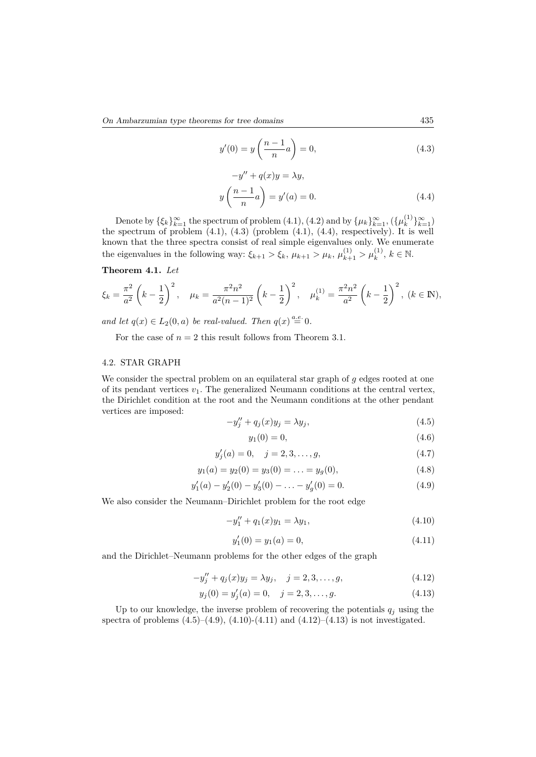$$
y'(0) = y\left(\frac{n-1}{n}a\right) = 0,
$$
  
\n
$$
-y'' + q(x)y = \lambda y,
$$
\n(4.3)

$$
y\left(\frac{n-1}{n}a\right) = y'(a) = 0.\tag{4.4}
$$

Denote by  $\{\xi_k\}_{k=1}^{\infty}$  the spectrum of problem (4.1), (4.2) and by  $\{\mu_k\}_{k=1}^{\infty}$ , ( $\{\mu_k^{(1)}\}$  ${k \choose k}$  $\}$  $\infty$ <sub>k=1</sub>) the spectrum of problem  $(4.1)$ ,  $(4.3)$  (problem  $(4.1)$ ,  $(4.4)$ , respectively). It is well known that the three spectra consist of real simple eigenvalues only. We enumerate the eigenvalues in the following way:  $\xi_{k+1} > \xi_k$ ,  $\mu_{k+1} > \mu_k$ ,  $\mu_{k+1}^{(1)} > \mu_k^{(1)}$ ,  $k \in \mathbb{N}$ .

# **Theorem 4.1.** *Let*

$$
\xi_k = \frac{\pi^2}{a^2} \left( k - \frac{1}{2} \right)^2, \quad \mu_k = \frac{\pi^2 n^2}{a^2 (n - 1)^2} \left( k - \frac{1}{2} \right)^2, \quad \mu_k^{(1)} = \frac{\pi^2 n^2}{a^2} \left( k - \frac{1}{2} \right)^2, \ (k \in \mathbb{N}),
$$

*and let*  $q(x) \in L_2(0, a)$  *be real-valued. Then*  $q(x) \stackrel{a.e.}{=} 0$ .

For the case of  $n = 2$  this result follows from Theorem 3.1.

### 4.2. STAR GRAPH

We consider the spectral problem on an equilateral star graph of *g* edges rooted at one of its pendant vertices  $v_1$ . The generalized Neumann conditions at the central vertex, the Dirichlet condition at the root and the Neumann conditions at the other pendant vertices are imposed:

$$
-y''_j + q_j(x)y_j = \lambda y_j,
$$
\n
$$
(4.5)
$$

$$
y_1(0) = 0,\t\t(4.6)
$$

$$
y'_{j}(a) = 0, \quad j = 2, 3, \dots, g,
$$
\n(4.7)

$$
y_1(a) = y_2(0) = y_3(0) = \ldots = y_g(0), \qquad (4.8)
$$

$$
y_1'(a) - y_2'(0) - y_3'(0) - \dots - y_g'(0) = 0.
$$
\n(4.9)

We also consider the Neumann–Dirichlet problem for the root edge

$$
-y_1'' + q_1(x)y_1 = \lambda y_1, \tag{4.10}
$$

$$
y_1'(0) = y_1(a) = 0,\t\t(4.11)
$$

and the Dirichlet–Neumann problems for the other edges of the graph

$$
-y''_j + q_j(x)y_j = \lambda y_j, \quad j = 2, 3, \dots, g,
$$
\n(4.12)

$$
y_j(0) = y'_j(a) = 0, \quad j = 2, 3, \dots, g.
$$
\n(4.13)

Up to our knowledge, the inverse problem of recovering the potentials  $q_i$  using the spectra of problems  $(4.5)$ – $(4.9)$ ,  $(4.10)$ - $(4.11)$  and  $(4.12)$ – $(4.13)$  is not investigated.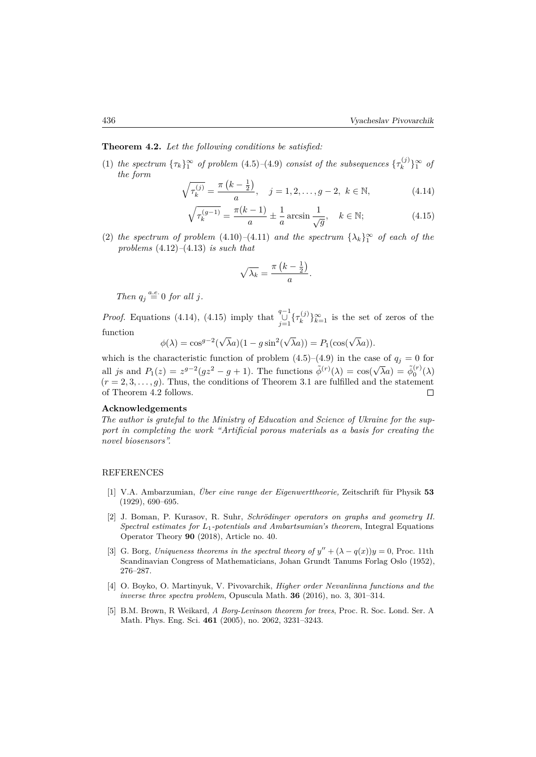**Theorem 4.2.** *Let the following conditions be satisfied:*

(1) *the spectrum*  $\{\tau_k\}_1^{\infty}$  *of problem* (4.5)–(4.9) *consist of the subsequences*  $\{\tau_k^{(j)}\}$  $\binom{J}{k}$ <sup>2</sup> *of the form*

$$
\sqrt{\tau_k^{(j)}} = \frac{\pi \left( k - \frac{1}{2} \right)}{a}, \quad j = 1, 2, \dots, g - 2, \ k \in \mathbb{N}, \tag{4.14}
$$

$$
\sqrt{\tau_k^{(g-1)}} = \frac{\pi(k-1)}{a} \pm \frac{1}{a} \arcsin \frac{1}{\sqrt{g}}, \quad k \in \mathbb{N};\tag{4.15}
$$

(2) *the spectrum of problem*  $(4.10)-(4.11)$  *and the spectrum*  $\{\lambda_k\}_1^{\infty}$  *of each of the problems* (4.12)*–*(4.13) *is such that*

$$
\sqrt{\lambda_k} = \frac{\pi \left(k - \frac{1}{2}\right)}{a}.
$$

*Then*  $q_j \stackrel{a.e.}{=} 0$  *for all j.* 

*Proof.* Equations (4.14), (4.15) imply that  $\bigcup_{i=1}^{q-1}$  $\bigcup_{j=1}^{q-1} \{\tau_k^{(j)}\}$  ${k \choose k}$ <sup>2</sup> $\binom{1}{k=1}$  is the set of zeros of the function

$$
\phi(\lambda) = \cos^{g-2}(\sqrt{\lambda}a)(1 - g\sin^2(\sqrt{\lambda}a)) = P_1(\cos(\sqrt{\lambda}a)).
$$

which is the characteristic function of problem  $(4.5)$ – $(4.9)$  in the case of  $q_j = 0$  for all *js* and  $P_1(z) = z^{g-2}(gz^2 - g + 1)$ . The functions  $\tilde{\phi}^{(r)}(\lambda) = \cos(\sqrt{\lambda}a) = \tilde{\phi}_0^{(r)}(\lambda)$  $(r = 2, 3, \ldots, g)$ . Thus, the conditions of Theorem 3.1 are fulfilled and the statement of Theorem 4.2 follows. П

# **Acknowledgements**

*The author is grateful to the Ministry of Education and Science of Ukraine for the support in completing the work "Artificial porous materials as a basis for creating the novel biosensors".*

### REFERENCES

- [1] V.A. Ambarzumian, *Über eine range der Eigenwerttheorie,* Zeitschrift für Physik **53** (1929), 690–695.
- [2] J. Boman, P. Kurasov, R. Suhr, *Schrödinger operators on graphs and geometry II. Spectral estimates for L*1*-potentials and Ambartsumian's theorem*, Integral Equations Operator Theory **90** (2018), Article no. 40.
- [3] G. Borg, *Uniqueness theorems in the spectral theory of*  $y'' + (\lambda q(x))y = 0$ , Proc. 11th Scandinavian Congress of Mathematicians, Johan Grundt Tanums Forlag Oslo (1952), 276–287.
- [4] O. Boyko, O. Martinyuk, V. Pivovarchik, *Higher order Nevanlinna functions and the inverse three spectra problem*, Opuscula Math. **36** (2016), no. 3, 301–314.
- [5] B.M. Brown, R Weikard, *A Borg-Levinson theorem for trees*, Proc. R. Soc. Lond. Ser. A Math. Phys. Eng. Sci. **461** (2005), no. 2062, 3231–3243.